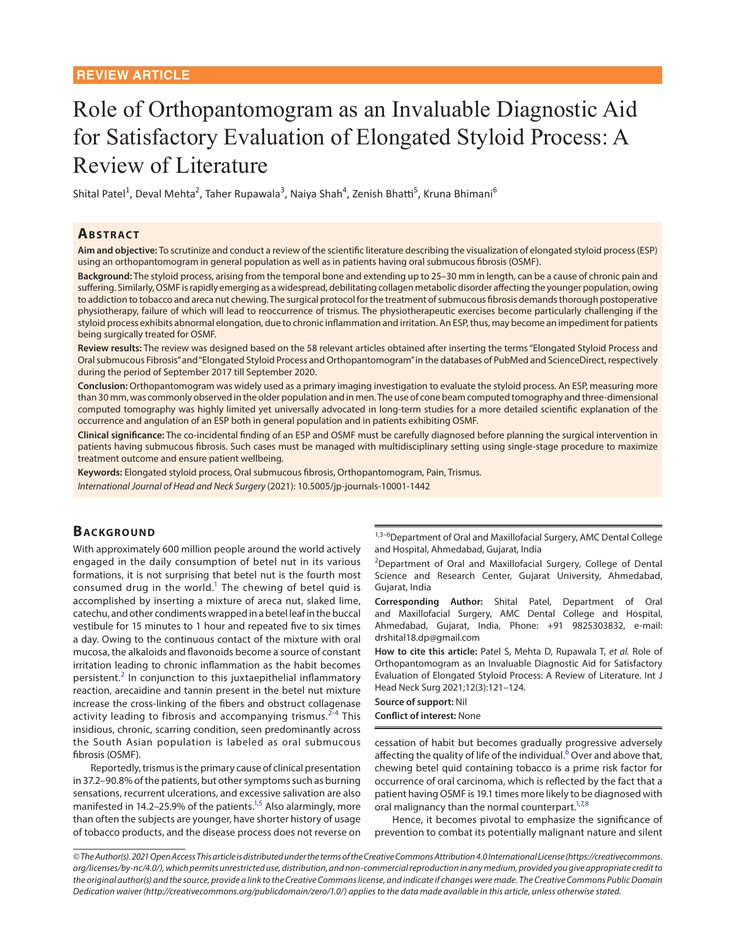# Role of Orthopantomogram as an Invaluable Diagnostic Aid for Satisfactory Evaluation of Elongated Styloid Process: A Review of Literature

Shital Patel<sup>1</sup>, Deval Mehta<sup>2</sup>, Taher Rupawala<sup>3</sup>, Naiya Shah<sup>4</sup>, Zenish Bhatti<sup>5</sup>, Kruna Bhimani<sup>6</sup>

#### **ABSTRACT**

**Aim and objective:** To scrutinize and conduct a review of the scientific literature describing the visualization of elongated styloid process (ESP) using an orthopantomogram in general population as well as in patients having oral submucous fibrosis (OSMF).

**Background:** The styloid process, arising from the temporal bone and extending up to 25–30 mm in length, can be a cause of chronic pain and suffering. Similarly, OSMF is rapidly emerging as a widespread, debilitating collagen metabolic disorder affecting the younger population, owing to addiction to tobacco and areca nut chewing. The surgical protocol for the treatment of submucous fibrosis demands thorough postoperative physiotherapy, failure of which will lead to reoccurrence of trismus. The physiotherapeutic exercises become particularly challenging if the styloid process exhibits abnormal elongation, due to chronic inflammation and irritation. An ESP, thus, may become an impediment for patients being surgically treated for OSMF.

**Review results:** The review was designed based on the 58 relevant articles obtained after inserting the terms "Elongated Styloid Process and Oral submucous Fibrosis" and "Elongated Styloid Process and Orthopantomogram" in the databases of PubMed and ScienceDirect, respectively during the period of September 2017 till September 2020.

**Conclusion:** Orthopantomogram was widely used as a primary imaging investigation to evaluate the styloid process. An ESP, measuring more than 30 mm, was commonly observed in the older population and in men. The use of cone beam computed tomography and three-dimensional computed tomography was highly limited yet universally advocated in long-term studies for a more detailed scientific explanation of the occurrence and angulation of an ESP both in general population and in patients exhibiting OSMF.

**Clinical significance:** The co-incidental finding of an ESP and OSMF must be carefully diagnosed before planning the surgical intervention in patients having submucous fibrosis. Such cases must be managed with multidisciplinary setting using single-stage procedure to maximize treatment outcome and ensure patient wellbeing.

**Keywords:** Elongated styloid process, Oral submucous fibrosis, Orthopantomogram, Pain, Trismus.

*International Journal of Head and Neck Surgery* (2021): 10.5005/jp-journals-10001-1442

## **BACKGROUND**

With approximately 600 million people around the world actively engaged in the daily consumption of betel nut in its various formations, it is not surprising that betel nut is the fourth most consumed drug in the world. $1$  The chewing of betel quid is accomplished by inserting a mixture of areca nut, slaked lime, catechu, and other condiments wrapped in a betel leaf in the buccal vestibule for 15 minutes to 1 hour and repeated five to six times a day. Owing to the continuous contact of the mixture with oral mucosa, the alkaloids and flavonoids become a source of constant irritation leading to chronic inflammation as the habit becomes persistent.<sup>[2](#page-2-1)</sup> In conjunction to this juxtaepithelial inflammatory reaction, arecaidine and tannin present in the betel nut mixture increase the cross-linking of the fibers and obstruct collagenase activity leading to fibrosis and accompanying trismus.<sup>[2-](#page-2-1)[4](#page-3-3)</sup> This insidious, chronic, scarring condition, seen predominantly across the South Asian population is labeled as oral submucous fibrosis (OSMF).

<span id="page-0-1"></span>Reportedly, trismus is the primary cause of clinical presentation in 37.2–90.8% of the patients, but other symptoms such as burning sensations, recurrent ulcerations, and excessive salivation are also manifested in 14.2–25.9% of the patients.<sup>1[,5](#page-3-4)</sup> Also alarmingly, more than often the subjects are younger, have shorter history of usage of tobacco products, and the disease process does not reverse on

1,3-6Department of Oral and Maxillofacial Surgery, AMC Dental College and Hospital, Ahmedabad, Gujarat, India

<sup>2</sup>Department of Oral and Maxillofacial Surgery, College of Dental Science and Research Center, Gujarat University, Ahmedabad, Gujarat, India

<span id="page-0-0"></span>**Corresponding Author:** Shital Patel, Department of Oral and Maxillofacial Surgery, AMC Dental College and Hospital, Ahmedabad, Gujarat, India, Phone: +91 9825303832, e-mail: drshital18.dp@gmail.com

**How to cite this article:** Patel S, Mehta D, Rupawala T, *et al.* Role of Orthopantomogram as an Invaluable Diagnostic Aid for Satisfactory Evaluation of Elongated Styloid Process: A Review of Literature. Int J Head Neck Surg 2021;12(3):121–124.

<span id="page-0-2"></span>**Source of support:** Nil

**Conflict of interest:** None

<span id="page-0-4"></span>cessation of habit but becomes gradually progressive adversely affecting the quality of life of the individual.<sup>[6](#page-3-0)</sup> Over and above that, chewing betel quid containing tobacco is a prime risk factor for occurrence of oral carcinoma, which is reflected by the fact that a patient having OSMF is 19.1 times more likely to be diagnosed with oral malignancy than the normal counterpart.<sup>1[,7,](#page-3-1)[8](#page-3-2)</sup>

<span id="page-0-6"></span><span id="page-0-5"></span><span id="page-0-3"></span>Hence, it becomes pivotal to emphasize the significance of prevention to combat its potentially malignant nature and silent

*<sup>©</sup> The Author(s). 2021 Open Access This article is distributed under the terms of the Creative Commons Attribution 4.0 International License (https://creativecommons. org/licenses/by-nc/4.0/), which permits unrestricted use, distribution, and non-commercial reproduction in any medium, provided you give appropriate credit to the original author(s) and the source, provide a link to the Creative Commons license, and indicate if changes were made. The Creative Commons Public Domain Dedication waiver (http://creativecommons.org/publicdomain/zero/1.0/) applies to the data made available in this article, unless otherwise stated.*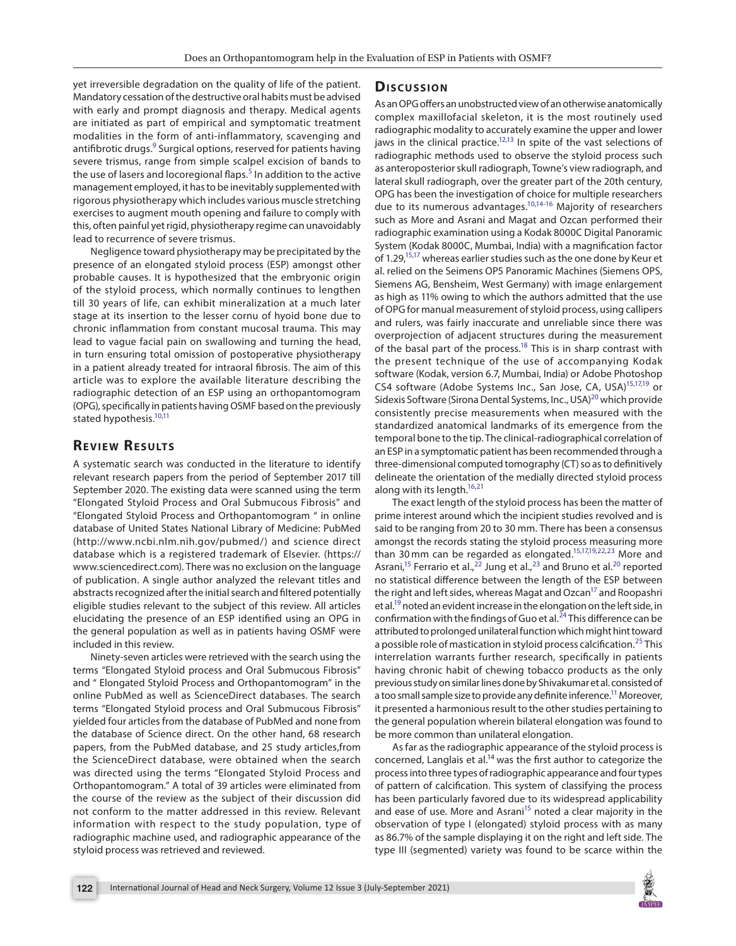yet irreversible degradation on the quality of life of the patient. Mandatory cessation of the destructive oral habits must be advised with early and prompt diagnosis and therapy. Medical agents are initiated as part of empirical and symptomatic treatment modalities in the form of anti-inflammatory, scavenging and antifibrotic drugs.<sup>9</sup> Surgical options, reserved for patients having severe trismus, range from simple scalpel excision of bands to the use of lasers and locoregional flaps.<sup>[5](#page-3-4)</sup> In addition to the active management employed, it has to be inevitably supplemented with rigorous physiotherapy which includes various muscle stretching exercises to augment mouth opening and failure to comply with this, often painful yet rigid, physiotherapy regime can unavoidably lead to recurrence of severe trismus.

Negligence toward physiotherapy may be precipitated by the presence of an elongated styloid process (ESP) amongst other probable causes. It is hypothesized that the embryonic origin of the styloid process, which normally continues to lengthen till 30 years of life, can exhibit mineralization at a much later stage at its insertion to the lesser cornu of hyoid bone due to chronic inflammation from constant mucosal trauma. This may lead to vague facial pain on swallowing and turning the head, in turn ensuring total omission of postoperative physiotherapy in a patient already treated for intraoral fibrosis. The aim of this article was to explore the available literature describing the radiographic detection of an ESP using an orthopantomogram (OPG), specifically in patients having OSMF based on the previously stated hypothesis.<sup>10[,11](#page-3-20)</sup>

#### <span id="page-1-10"></span>**REVIEW RESULTS**

A systematic search was conducted in the literature to identify relevant research papers from the period of September 2017 till September 2020. The existing data were scanned using the term "Elongated Styloid Process and Oral Submucous Fibrosis" and "Elongated Styloid Process and Orthopantomogram " in online database of United States National Library of Medicine: PubMed [\(http://www.ncbi.nlm.nih.gov/pubmed/](http://www.ncbi.nlm.nih.gov/pubmed/)) and science direct database which is a registered trademark of Elsevier. ([https://](https://www.sciencedirect.com) [www.sciencedirect.com\)](https://www.sciencedirect.com). There was no exclusion on the language of publication. A single author analyzed the relevant titles and abstracts recognized after the initial search and filtered potentially eligible studies relevant to the subject of this review. All articles elucidating the presence of an ESP identified using an OPG in the general population as well as in patients having OSMF were included in this review.

Ninety-seven articles were retrieved with the search using the terms "Elongated Styloid process and Oral Submucous Fibrosis" and " Elongated Styloid Process and Orthopantomogram" in the online PubMed as well as ScienceDirect databases. The search terms "Elongated Styloid process and Oral Submucous Fibrosis" yielded four articles from the database of PubMed and none from the database of Science direct. On the other hand, 68 research papers, from the PubMed database, and 25 study articles,from the ScienceDirect database, were obtained when the search was directed using the terms "Elongated Styloid Process and Orthopantomogram." A total of 39 articles were eliminated from the course of the review as the subject of their discussion did not conform to the matter addressed in this review. Relevant information with respect to the study population, type of radiographic machine used, and radiographic appearance of the styloid process was retrieved and reviewed.

#### Discussion

<span id="page-1-16"></span><span id="page-1-15"></span><span id="page-1-14"></span><span id="page-1-13"></span><span id="page-1-12"></span><span id="page-1-9"></span><span id="page-1-0"></span>As an OPG offers an unobstructed view of an otherwise anatomically complex maxillofacial skeleton, it is the most routinely used radiographic modality to accurately examine the upper and lower jaws in the clinical practice.<sup>12,13</sup> In spite of the vast selections of radiographic methods used to observe the styloid process such as anteroposterior skull radiograph, Towne's view radiograph, and lateral skull radiograph, over the greater part of the 20th century, OPG has been the investigation of choice for multiple researchers due to its numerous advantages[.10](#page-3-7)[,14](#page-3-8)[-16](#page-3-9) Majority of researchers such as More and Asrani and Magat and Ozcan performed their radiographic examination using a Kodak 8000C Digital Panoramic System (Kodak 8000C, Mumbai, India) with a magnification factor of 1.29,<sup>15[,17](#page-3-11)</sup> whereas earlier studies such as the one done by Keur et al. relied on the Seimens OP5 Panoramic Machines (Siemens OPS, Siemens AG, Bensheim, West Germany) with image enlargement as high as 11% owing to which the authors admitted that the use of OPG for manual measurement of styloid process, using callipers and rulers, was fairly inaccurate and unreliable since there was overprojection of adjacent structures during the measurement of the basal part of the process.<sup>18</sup> This is in sharp contrast with the present technique of the use of accompanying Kodak software (Kodak, version 6.7, Mumbai, India) or Adobe Photoshop CS4 software (Adobe Systems Inc., San Jose, CA, USA)<sup>15,[17](#page-3-11)[,19](#page-3-13)</sup> or Sidexis Software (Sirona Dental Systems, Inc., USA)<sup>20</sup> which provide consistently precise measurements when measured with the standardized anatomical landmarks of its emergence from the temporal bone to the tip. The clinical-radiographical correlation of an ESP in a symptomatic patient has been recommended through a three-dimensional computed tomography (CT) so as to definitively delineate the orientation of the medially directed styloid process along with its length. $16,21$  $16,21$ 

<span id="page-1-11"></span><span id="page-1-7"></span><span id="page-1-6"></span><span id="page-1-5"></span><span id="page-1-4"></span><span id="page-1-3"></span><span id="page-1-2"></span><span id="page-1-1"></span>The exact length of the styloid process has been the matter of prime interest around which the incipient studies revolved and is said to be ranging from 20 to 30 mm. There has been a consensus amongst the records stating the styloid process measuring more than 30 mm can be regarded as elongated[.15](#page-3-10)[,17](#page-3-11)[,19](#page-3-13),[22,](#page-3-16)[23](#page-3-17) More and Asrani, $15$  Ferrario et al., $22$  Jung et al., $23$  and Bruno et al. $20$  reported no statistical difference between the length of the ESP between the right and left sides, whereas Magat and Ozcan<sup>17</sup> and Roopashri et al[.19](#page-3-13) noted an evident increase in the elongation on the left side, in confirmation with the findings of Guo et al.<sup>24</sup> This difference can be attributed to prolonged unilateral function which might hint toward a possible role of mastication in styloid process calcification.<sup>25</sup> This interrelation warrants further research, specifically in patients having chronic habit of chewing tobacco products as the only previous study on similar lines done by Shivakumar et al. consisted of a too small sample size to provide any definite inference.<sup>11</sup> Moreover, it presented a harmonious result to the other studies pertaining to the general population wherein bilateral elongation was found to be more common than unilateral elongation.

<span id="page-1-8"></span>As far as the radiographic appearance of the styloid process is concerned, Langlais et al. $14$  was the first author to categorize the process into three types of radiographic appearance and four types of pattern of calcification. This system of classifying the process has been particularly favored due to its widespread applicability and ease of use. More and Asrani<sup>15</sup> noted a clear majority in the observation of type I (elongated) styloid process with as many as 86.7% of the sample displaying it on the right and left side. The type III (segmented) variety was found to be scarce within the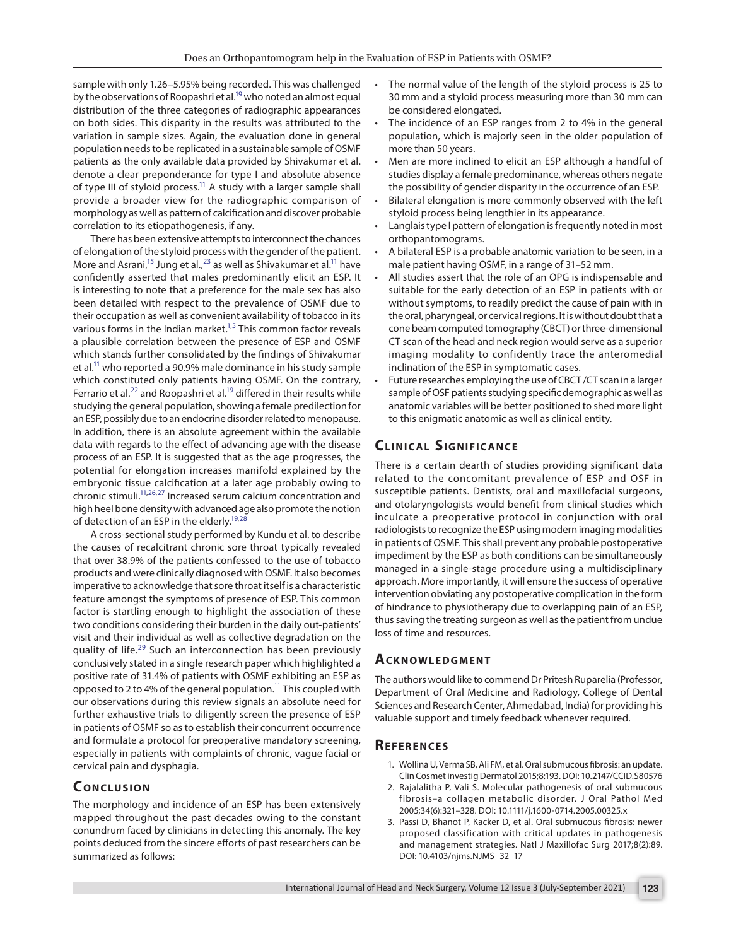sample with only 1.26–5.95% being recorded. This was challenged by the observations of Roopashri et al.<sup>19</sup> who noted an almost equal distribution of the three categories of radiographic appearances on both sides. This disparity in the results was attributed to the variation in sample sizes. Again, the evaluation done in general population needs to be replicated in a sustainable sample of OSMF patients as the only available data provided by Shivakumar et al. denote a clear preponderance for type I and absolute absence of type III of styloid process.<sup>11</sup> A study with a larger sample shall provide a broader view for the radiographic comparison of morphology as well as pattern of calcification and discover probable correlation to its etiopathogenesis, if any.

There has been extensive attempts to interconnect the chances of elongation of the styloid process with the gender of the patient. More and Asrani,<sup>15</sup> Jung et al.,<sup>[23](#page-3-17)</sup> as well as Shivakumar et al.<sup>11</sup> have confidently asserted that males predominantly elicit an ESP. It is interesting to note that a preference for the male sex has also been detailed with respect to the prevalence of OSMF due to their occupation as well as convenient availability of tobacco in its various forms in the Indian market.<sup>1,[5](#page-3-4)</sup> This common factor reveals a plausible correlation between the presence of ESP and OSMF which stands further consolidated by the findings of Shivakumar et al.<sup>11</sup> who reported a 90.9% male dominance in his study sample which constituted only patients having OSMF. On the contrary, Ferrario et al.<sup>[22](#page-3-16)</sup> and Roopashri et al.<sup>19</sup> differed in their results while studying the general population, showing a female predilection for an ESP, possibly due to an endocrine disorder related to menopause. In addition, there is an absolute agreement within the available data with regards to the effect of advancing age with the disease process of an ESP. It is suggested that as the age progresses, the potential for elongation increases manifold explained by the embryonic tissue calcification at a later age probably owing to chronic stimuli.<sup>11,[26](#page-3-22),[27](#page-3-23)</sup> Increased serum calcium concentration and high heel bone density with advanced age also promote the notion of detection of an ESP in the elderly.<sup>19,[28](#page-3-24)</sup>

<span id="page-2-5"></span><span id="page-2-2"></span>A cross-sectional study performed by Kundu et al. to describe the causes of recalcitrant chronic sore throat typically revealed that over 38.9% of the patients confessed to the use of tobacco products and were clinically diagnosed with OSMF. It also becomes imperative to acknowledge that sore throat itself is a characteristic feature amongst the symptoms of presence of ESP. This common factor is startling enough to highlight the association of these two conditions considering their burden in the daily out-patients' visit and their individual as well as collective degradation on the quality of life.<sup>29</sup> Such an interconnection has been previously conclusively stated in a single research paper which highlighted a positive rate of 31.4% of patients with OSMF exhibiting an ESP as opposed to 2 to 4% of the general population.<sup>11</sup> This coupled with our observations during this review signals an absolute need for further exhaustive trials to diligently screen the presence of ESP in patients of OSMF so as to establish their concurrent occurrence and formulate a protocol for preoperative mandatory screening, especially in patients with complaints of chronic, vague facial or cervical pain and dysphagia.

## **CONCLUSION**

The morphology and incidence of an ESP has been extensively mapped throughout the past decades owing to the constant conundrum faced by clinicians in detecting this anomaly. The key points deduced from the sincere efforts of past researchers can be summarized as follows:

- The normal value of the length of the styloid process is 25 to 30 mm and a styloid process measuring more than 30 mm can be considered elongated.
- The incidence of an ESP ranges from 2 to 4% in the general population, which is majorly seen in the older population of more than 50 years.
- Men are more inclined to elicit an ESP although a handful of studies display a female predominance, whereas others negate the possibility of gender disparity in the occurrence of an ESP.
- Bilateral elongation is more commonly observed with the left styloid process being lengthier in its appearance.
- Langlais type I pattern of elongation is frequently noted in most orthopantomograms.
- A bilateral ESP is a probable anatomic variation to be seen, in a male patient having OSMF, in a range of 31–52 mm.
- All studies assert that the role of an OPG is indispensable and suitable for the early detection of an ESP in patients with or without symptoms, to readily predict the cause of pain with in the oral, pharyngeal, or cervical regions. It is without doubt that a cone beam computed tomography (CBCT) or three-dimensional CT scan of the head and neck region would serve as a superior imaging modality to confidently trace the anteromedial inclination of the ESP in symptomatic cases.
- Future researches employing the use of CBCT /CT scan in a larger sample of OSF patients studying specific demographic as well as anatomic variables will be better positioned to shed more light to this enigmatic anatomic as well as clinical entity.

## **CLINICAL SIGNIFICANCE**

<span id="page-2-4"></span><span id="page-2-3"></span>There is a certain dearth of studies providing significant data related to the concomitant prevalence of ESP and OSF in susceptible patients. Dentists, oral and maxillofacial surgeons, and otolaryngologists would benefit from clinical studies which inculcate a preoperative protocol in conjunction with oral radiologists to recognize the ESP using modern imaging modalities in patients of OSMF. This shall prevent any probable postoperative impediment by the ESP as both conditions can be simultaneously managed in a single-stage procedure using a multidisciplinary approach. More importantly, it will ensure the success of operative intervention obviating any postoperative complication in the form of hindrance to physiotherapy due to overlapping pain of an ESP, thus saving the treating surgeon as well as the patient from undue loss of time and resources.

#### **ACKNOWLEDGMENT**

The authors would like to commend Dr Pritesh Ruparelia (Professor, Department of Oral Medicine and Radiology, College of Dental Sciences and Research Center, Ahmedabad, India) for providing his valuable support and timely feedback whenever required.

#### **Re f e r e n c e s**

- <span id="page-2-0"></span>[1.](#page-0-0) Wollina U, Verma SB, Ali FM, et al. Oral submucous fibrosis: an update. Clin Cosmet investig Dermatol 2015;8:193. DOI: [10.2147/CCID.S80576](https://doi.org/10.2147/CCID.S80576)
- <span id="page-2-1"></span>[2.](#page-0-1) Rajalalitha P, Vali S. Molecular pathogenesis of oral submucous fibrosis–a collagen metabolic disorder. J Oral Pathol Med 2005;34(6):321–328. DOI: [10.1111/j.1600-0714.2005.00325.x](https://doi.org/10.1111/j.1600-0714.2005.00325.x)
- 3. Passi D, Bhanot P, Kacker D, et al. Oral submucous fibrosis: newer proposed classification with critical updates in pathogenesis and management strategies. Natl J Maxillofac Surg 2017;8(2):89. DOI: [10.4103/njms.NJMS\\_32\\_17](https://doi.org/10.4103/njms.NJMS_32_17)